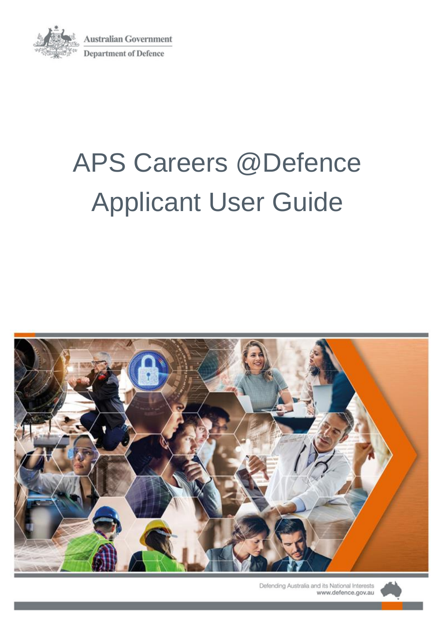

**Australian Government Department of Defence** 

# APS Careers @Defence Applicant User Guide



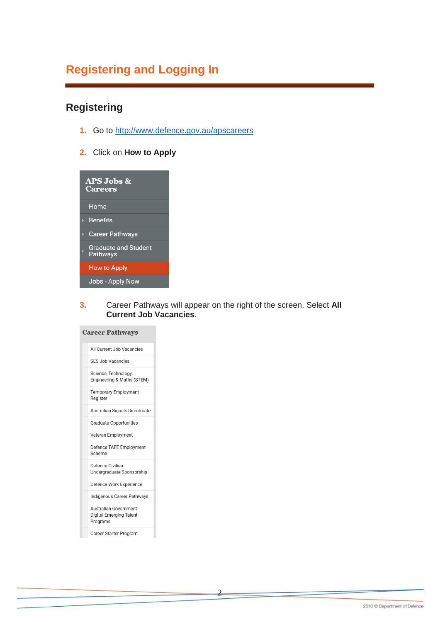## **Registering and Logging In**

#### **Registering**

- **1.** Go to<http://www.defence.gov.au/apscareers>
- **2.** Click on **How to Apply**



**3.** Career Pathways will appear on the right of the screen. Select **All Current Job Vacancies**.

2

| <b>Career Pathways</b>                                              |
|---------------------------------------------------------------------|
| All Current Job Vacancies                                           |
| SES Job Vacancies                                                   |
| Science, Technology,<br>Engineering & Maths (STEM)                  |
| <b>Temporary Employment</b><br>Register                             |
| Australian Signals Directorate                                      |
| <b>Graduate Opportunities</b>                                       |
| Veteran Employment                                                  |
| Defence TAFE Employment<br>Scheme                                   |
| Defence Civilian<br>Undergraduate Sponsorship                       |
| Defence Work Experience                                             |
| Indigenous Career Pathways                                          |
| Australian Government<br><b>Digital Emerging Talent</b><br>Programs |
|                                                                     |

Career Starter Program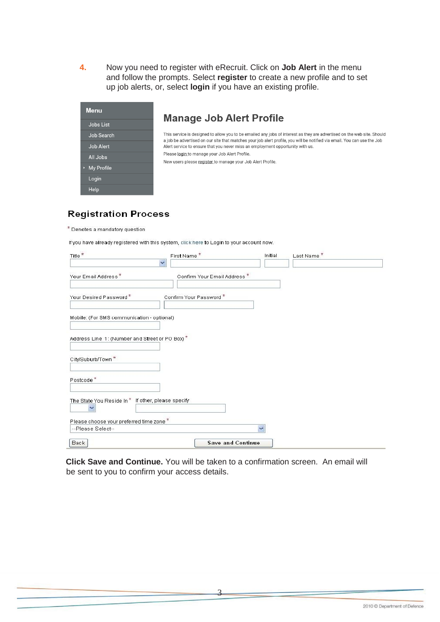**4.** Now you need to register with eRecruit. Click on **Job Alert** in the menu and follow the prompts. Select **register** to create a new profile and to set up job alerts, or, select **login** if you have an existing profile.

| <b>Menu</b>      |
|------------------|
| <b>Jobs List</b> |
| Job Search       |
| <b>Job Alert</b> |
| All Jobs         |
| My Profile<br>k. |
| Login            |
| Help             |

#### **Manage Job Alert Profile**

This service is designed to allow you to be emailed any jobs of interest as they are advertised on the web site. Should a job be advertised on our site that matches your job alert profile, you will be notified via email. You can use the Job Alert service to ensure that you never miss an employment opportunity with us. Please login to manage your Job Alert Profile. New users please register to manage your Job Alert Profile.

#### **Registration Process**

\* Denotes a mandatory question

If you have already registered with this system, click here to Login to your account now.

| Title <sup>*</sup>                                                | First Name*<br>Y             | Initial                  | Last Name* |  |
|-------------------------------------------------------------------|------------------------------|--------------------------|------------|--|
| Your Email Address*                                               | Confirm Your Email Address * |                          |            |  |
| Your Desired Password*                                            | Confirm Your Password *      |                          |            |  |
| Mobile: (For SMS communication - optional)                        |                              |                          |            |  |
| Address Line 1: (Number and Street or PO Box) *                   |                              |                          |            |  |
| City/Suburb/Town <sup>*</sup>                                     |                              |                          |            |  |
| Postcode <sup>*</sup>                                             |                              |                          |            |  |
| The State You Reside In* If other, please specify<br>$\checkmark$ |                              |                          |            |  |
| Please choose your preferred time zone *                          |                              |                          |            |  |
| --Please Select--                                                 |                              | $\checkmark$             |            |  |
| Back                                                              |                              | <b>Save and Continue</b> |            |  |

**Click Save and Continue.** You will be taken to a confirmation screen. An email will be sent to you to confirm your access details.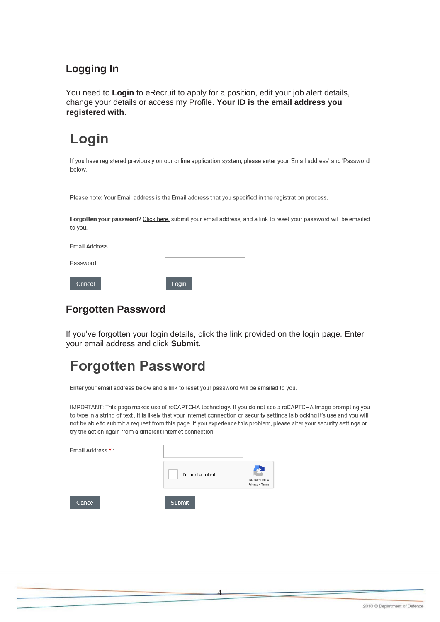#### **Logging In**

You need to **Login** to eRecruit to apply for a position, edit your job alert details, change your details or access my Profile. **Your ID is the email address you registered with**.

## Login

If you have registered previously on our online application system, please enter your 'Email address' and 'Password' below.

Please note: Your Email address is the Email address that you specified in the registration process.

Forgotten your password? Click here, submit your email address, and a link to reset your password will be emailed to you.

| <b>Email Address</b> |       |
|----------------------|-------|
| Password             |       |
| Cancel               | Login |

#### **Forgotten Password**

If you've forgotten your login details, click the link provided on the login page. Enter your email address and click **Submit**.

## **Forgotten Password**

Enter your email address below and a link to reset your password will be emailed to you.

IMPORTANT: This page makes use of reCAPTCHA technology. If you do not see a reCAPTCHA image prompting you to type in a string of text, it is likely that your internet connection or security settings is blocking it's use and you will not be able to submit a request from this page. If you experience this problem, please alter your security settings or try the action again from a different internet connection.

| Email Address *: |                 |                              |
|------------------|-----------------|------------------------------|
|                  | I'm not a robot | reCAPTCHA<br>Privacy - Terms |
| Cancel           | <b>Submit</b>   |                              |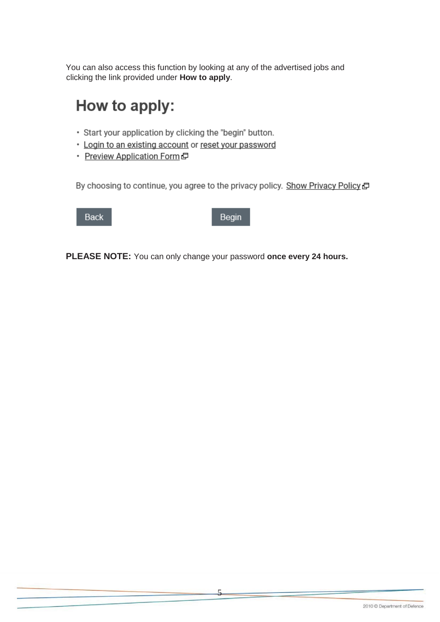You can also access this function by looking at any of the advertised jobs and clicking the link provided under **How to apply**.

## How to apply:

- · Start your application by clicking the "begin" button.
- \* Login to an existing account or reset your password
- Preview Application Form

By choosing to continue, you agree to the privacy policy. Show Privacy Policy a

**Back** 

Begin

**PLEASE NOTE:** You can only change your password **once every 24 hours.**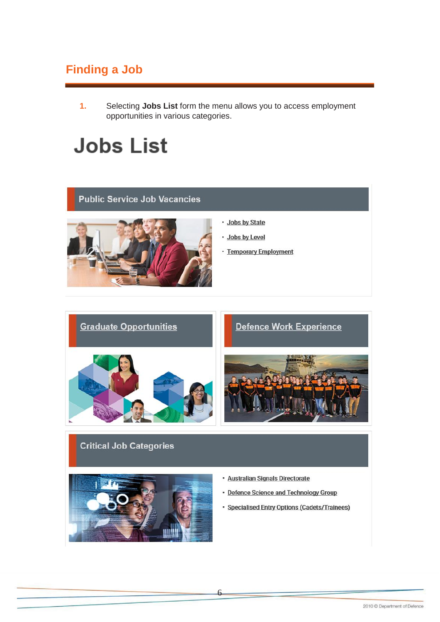## **Finding a Job**

 $\mathbf{1}$ . Selecting Jobs List form the menu allows you to access employment opportunities in various categories.

## **Jobs List**

#### **Public Service Job Vacancies**



- · Jobs by State
- · Jobs by Level
- Temporary Employment



#### **Critical Job Categories**



- · Australian Signals Directorate
- Defence Science and Technology Group
- · Specialised Entry Options (Cadets/Trainees)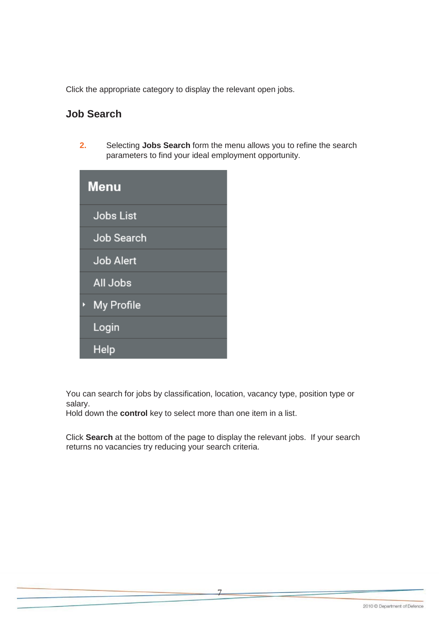Click the appropriate category to display the relevant open jobs.

#### **Job Search**

**2.** Selecting **Jobs Search** form the menu allows you to refine the search parameters to find your ideal employment opportunity.

| <b>Menu</b>      |
|------------------|
| <b>Jobs List</b> |
| Job Search       |
| <b>Job Alert</b> |
| All Jobs         |
| My Profile<br>k. |
| Login            |
| Help             |

You can search for jobs by classification, location, vacancy type, position type or salary.

Hold down the **control** key to select more than one item in a list.

Click **Search** at the bottom of the page to display the relevant jobs. If your search returns no vacancies try reducing your search criteria.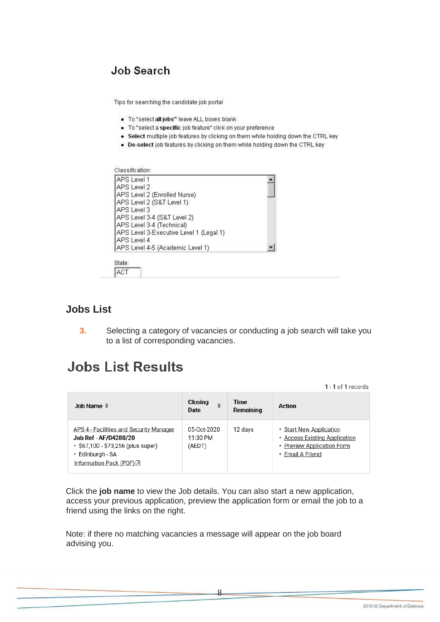#### Job Search

Tips for searching the candidate job portal

- . To "select all jobs" leave ALL boxes blank
- · To "select a specific job feature" click on your preference
- Select multiple job features by clicking on them while holding down the CTRL key
- De-select job features by clicking on them while holding down the CTRL key



ACT

#### **Jobs List**

**3.** Selecting a category of vacancies or conducting a job search will take you to a list of corresponding vacancies.

## **Jobs List Results**

1 - 1 of 1 records

| Job Name ♦                                                                                                                                             | Closing<br>٠<br>Date              | Time<br>Remaining | <b>Action</b>                                                                                              |
|--------------------------------------------------------------------------------------------------------------------------------------------------------|-----------------------------------|-------------------|------------------------------------------------------------------------------------------------------------|
| APS 4 - Facilities and Security Manager<br>Job Ref - AF/04280/20<br>• \$67,100 - \$73,256 (plus super)<br>• Edinburgh - SA<br>Information Pack (PDF) F | 05-Oct-2020<br>11:30 PM<br>(AEDT) | 12 days           | • Start New Application<br>• Access Existing Application<br>• Preview Application Form<br>• Email A Friend |

Click the **job name** to view the Job details. You can also start a new application, access your previous application, preview the application form or email the job to a friend using the links on the right.

8

Note: if there no matching vacancies a message will appear on the job board advising you.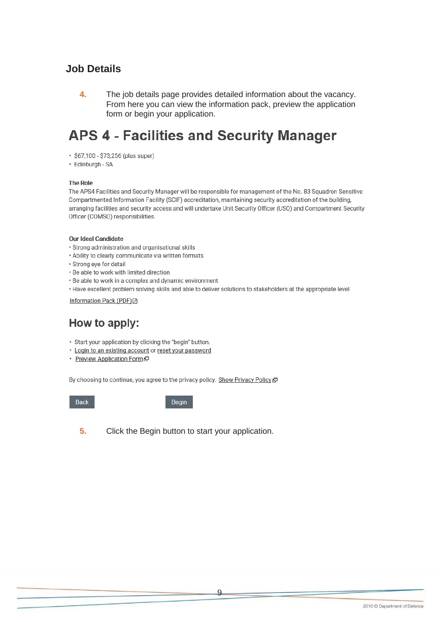#### **Job Details**

4. The job details page provides detailed information about the vacancy. From here you can view the information pack, preview the application form or begin your application.

## **APS 4 - Facilities and Security Manager**

- · \$67,100 \$73,256 (plus super)
- Edinburgh SA

#### **The Role**

The APS4 Facilities and Security Manager will be responsible for management of the No. 83 Squadron Sensitive Compartmented Information Facility (SCIF) accreditation, maintaining security accreditation of the building, arranging facilities and security access and will undertake Unit Security Officer (USO) and Compartment Security Officer (COMSO) responsibilities.

#### Our Ideal Candidate

- · Strong administration and organisational skills
- . Ability to clearly communicate via written formats
- · Strong eye for detail
- . Be able to work with limited direction
- . Be able to work in a complex and dynamic environment
- · Have excellent problem solving skills and able to deliver solutions to stakeholders at the appropriate level

Information Pack (PDF) A

#### How to apply:

- · Start your application by clicking the "begin" button.
- · Login to an existing account or reset your password
- Preview Application Form

By choosing to continue, you agree to the privacy policy. Show Privacy Policy C

Back

Begin

5. Click the Begin button to start your application.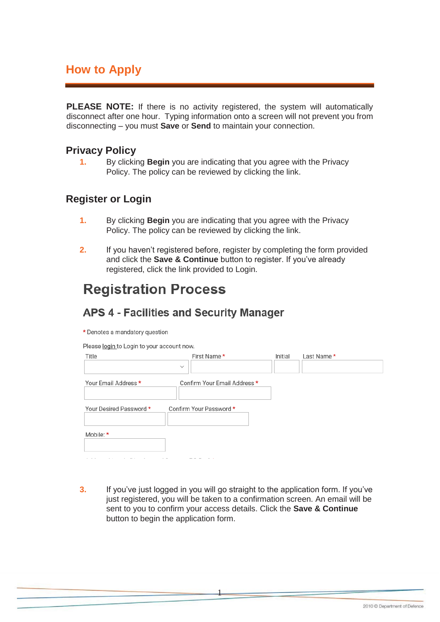## **How to Apply**

**PLEASE NOTE:** If there is no activity registered, the system will automatically disconnect after one hour. Typing information onto a screen will not prevent you from disconnecting – you must **Save** or **Send** to maintain your connection.

#### **Privacy Policy**

**1.** By clicking **Begin** you are indicating that you agree with the Privacy Policy. The policy can be reviewed by clicking the link.

#### **Register or Login**

- **1.** By clicking **Begin** you are indicating that you agree with the Privacy Policy. The policy can be reviewed by clicking the link.
- **2.** If you haven't registered before, register by completing the form provided and click the **Save & Continue** button to register. If you've already registered, click the link provided to Login.

## **Registration Process**

#### **APS 4 - Facilities and Security Manager**

\* Denotes a mandatory question

Please login to Login to your account now

| Title                   | First Name *                 | Initial | Last Name * |  |
|-------------------------|------------------------------|---------|-------------|--|
|                         | $\checkmark$                 |         |             |  |
| Your Email Address *    | Confirm Your Email Address * |         |             |  |
|                         |                              |         |             |  |
| Your Desired Password * | Confirm Your Password *      |         |             |  |
|                         |                              |         |             |  |
| Mobile: *               |                              |         |             |  |
|                         |                              |         |             |  |
|                         | --- - -                      |         |             |  |

**3.** If you've just logged in you will go straight to the application form. If you've just registered, you will be taken to a confirmation screen. An email will be sent to you to confirm your access details. Click the **Save & Continue**  button to begin the application form.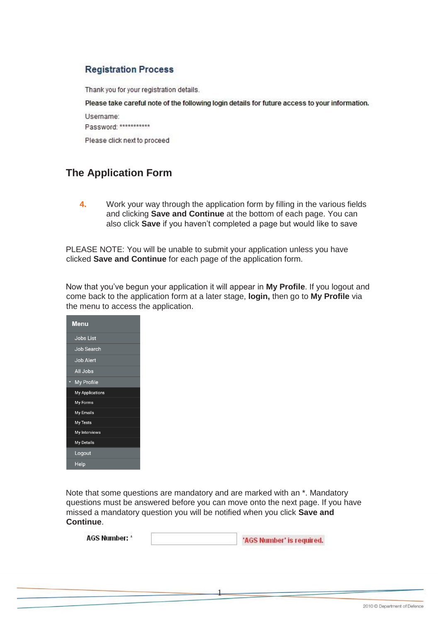#### **Registration Process**

Thank you for your registration details.

Please take careful note of the following login details for future access to your information.

Username: Password: \*\*\*\*\*\*\*\*\*\*\*

Please click next to proceed

#### **The Application Form**

**4.** Work your way through the application form by filling in the various fields and clicking **Save and Continue** at the bottom of each page. You can also click **Save** if you haven't completed a page but would like to save

PLEASE NOTE: You will be unable to submit your application unless you have clicked **Save and Continue** for each page of the application form.

Now that you've begun your application it will appear in **My Profile**. If you logout and come back to the application form at a later stage, **login,** then go to **My Profile** via the menu to access the application.

| Menu              |
|-------------------|
| <b>Jobs List</b>  |
| <b>Job Search</b> |
| <b>Job Alert</b>  |
| All Jobs          |
| My Profile        |
| My Applications   |
| My Forms          |
| My Emails         |
| My Tests          |
| My Interviews     |
| <b>My Details</b> |
| Logout            |
| Help              |

Note that some questions are mandatory and are marked with an \*. Mandatory questions must be answered before you can move onto the next page. If you have missed a mandatory question you will be notified when you click **Save and Continue**.

1

**AGS Number: \*** 'AGS Number' is required.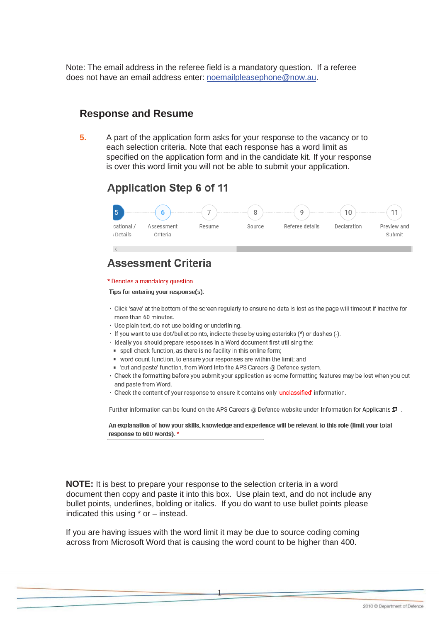Note: The email address in the referee field is a mandatory question. If a referee does not have an email address enter: noemailpleasephone@now.au.

#### **Response and Resume**

 $5<sub>1</sub>$ A part of the application form asks for your response to the vacancy or to each selection criteria. Note that each response has a word limit as specified on the application form and in the candidate kit. If your response is over this word limit you will not be able to submit your application.

#### **Application Step 6 of 11**



## **Assessment Criteria**

#### \* Denotes a mandatory question

Tips for entering your response(s):

- . Click 'save' at the bottom of the screen regularly to ensure no data is lost as the page will timeout if inactive for more than 60 minutes.
- · Use plain text, do not use bolding or underlining.
- · If you want to use dot/bullet points, indicate these by using asterisks (\*) or dashes (-).
- Ideally you should prepare responses in a Word document first utilising the:
- · spell check function, as there is no facility in this online form;
- word count function, to ensure your responses are within the limit; and
- 'cut and paste' function, from Word into the APS Careers @ Defence system.
- Check the formatting before you submit your application as some formatting features may be lost when you cut and paste from Word.
- Check the content of your response to ensure it contains only 'unclassified' information.

Further information can be found on the APS Careers @ Defence website under Information for Applicants  $\mathbb F$ .

An explanation of how your skills, knowledge and experience will be relevant to this role (limit your total response to 600 words). \*

**NOTE:** It is best to prepare your response to the selection criteria in a word document then copy and paste it into this box. Use plain text, and do not include any bullet points, underlines, bolding or italics. If you do want to use bullet points please indicated this using \* or - instead.

If you are having issues with the word limit it may be due to source coding coming across from Microsoft Word that is causing the word count to be higher than 400.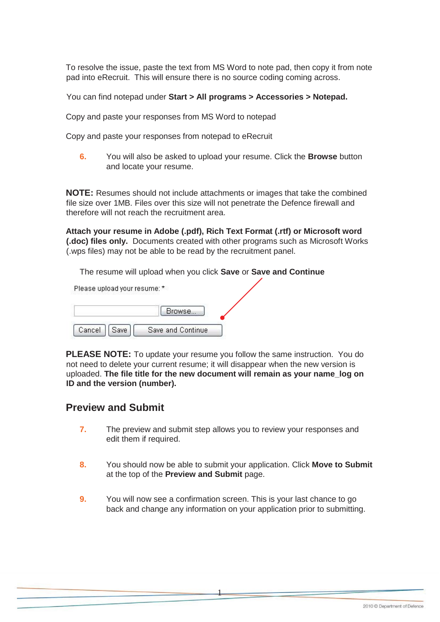To resolve the issue, paste the text from MS Word to note pad, then copy it from note pad into eRecruit. This will ensure there is no source coding coming across.

You can find notepad under **Start > All programs > Accessories > Notepad.**

Copy and paste your responses from MS Word to notepad

Copy and paste your responses from notepad to eRecruit

**6.** You will also be asked to upload your resume. Click the **Browse** button and locate your resume.

**NOTE:** Resumes should not include attachments or images that take the combined file size over 1MB. Files over this size will not penetrate the Defence firewall and therefore will not reach the recruitment area.

**Attach your resume in Adobe (.pdf), Rich Text Format (.rtf) or Microsoft word (.doc) files only.** Documents created with other programs such as Microsoft Works (.wps files) may not be able to be read by the recruitment panel.

The resume will upload when you click **Save** or **Save and Continue**

Please upload your resume: \*

|        |      | Browse            |
|--------|------|-------------------|
| Cancel | Save | Save and Continue |

**PLEASE NOTE:** To update your resume you follow the same instruction. You do not need to delete your current resume; it will disappear when the new version is uploaded. **The file title for the new document will remain as your name\_log on ID and the version (number).**

#### **Preview and Submit**

- **7.** The preview and submit step allows you to review your responses and edit them if required.
- **8.** You should now be able to submit your application. Click **Move to Submit**  at the top of the **Preview and Submit** page.
- **9.** You will now see a confirmation screen. This is your last chance to go back and change any information on your application prior to submitting.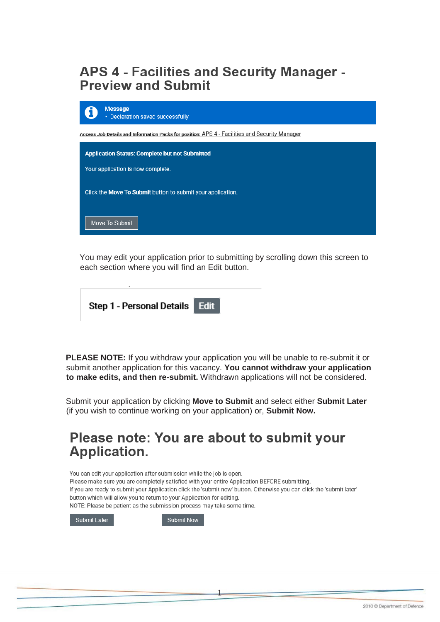## APS 4 - Facilities and Security Manager -**Preview and Submit**

| <b>Message</b><br>• Declaration saved successfully                                             |  |
|------------------------------------------------------------------------------------------------|--|
| Access Job Details and Information Packs for position: APS 4 - Facilities and Security Manager |  |
| <b>Application Status: Complete but not Submitted</b>                                          |  |
| Your application is now complete.                                                              |  |
| Click the Move To Submit button to submit your application.                                    |  |
| Move To Submit                                                                                 |  |

You may edit your application prior to submitting by scrolling down this screen to each section where you will find an Edit button.

| Step 1 - Personal Details   Edit |  |
|----------------------------------|--|
|                                  |  |

**PLEASE NOTE:** If you withdraw your application you will be unable to re-submit it or submit another application for this vacancy. **You cannot withdraw your application to make edits, and then re-submit.** Withdrawn applications will not be considered.

Submit your application by clicking **Move to Submit** and select either **Submit Later**  (if you wish to continue working on your application) or, **Submit Now.**

## Please note: You are about to submit your **Application.**

You can edit your application after submission while the job is open. Please make sure you are completely satisfied with your entire Application BEFORE submitting. If you are ready to submit your Application click the 'submit now' button. Otherwise you can click the 'submit later' button which will allow you to return to your Application for editing. NOTE: Please be patient as the submission process may take some time.

1

Submit Later

**Submit Now**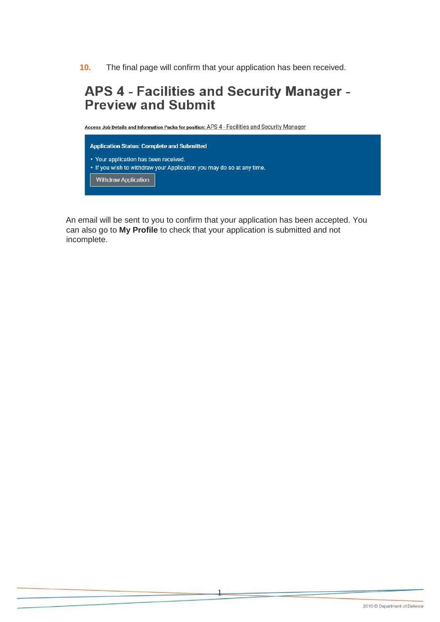**10.** The final page will confirm that your application has been received.

## APS 4 - Facilities and Security Manager -**Preview and Submit**

Access Job Details and Information Packs for position: APS 4 - Facilities and Security Manager



An email will be sent to you to confirm that your application has been accepted. You can also go to **My Profile** to check that your application is submitted and not incomplete.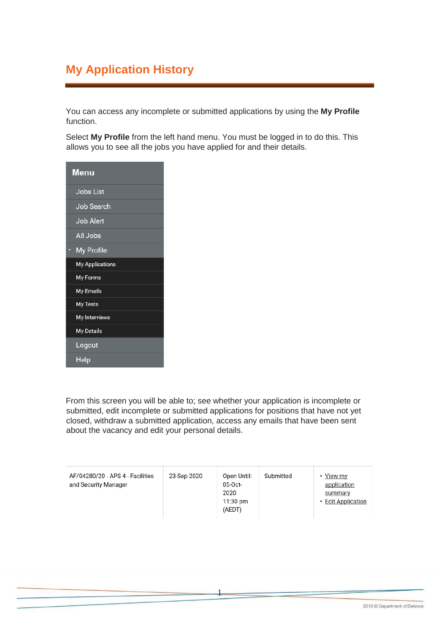## **My Application History**

You can access any incomplete or submitted applications by using the **My Profile**  function.

Select **My Profile** from the left hand menu. You must be logged in to do this. This allows you to see all the jobs you have applied for and their details.

| <b>Menu</b>       |
|-------------------|
| <b>Jobs List</b>  |
| Job Search        |
| <b>Job Alert</b>  |
| All Jobs          |
| <b>My Profile</b> |
| My Applications   |
| My Forms          |
| My Emails         |
| My Tests          |
| My Interviews     |
| My Details        |
| Logout            |
| Help              |

From this screen you will be able to; see whether your application is incomplete or submitted, edit incomplete or submitted applications for positions that have not yet closed, withdraw a submitted application, access any emails that have been sent about the vacancy and edit your personal details.

| AF/04280/20 - APS 4 - Facilities<br>and Security Manager | 23-Sep-2020 | Open Until:<br>05-Oct-<br>2020<br>$11:30 \text{ pm}$<br>(AEDT) | Submitted | • View my<br>application<br>summary<br>• Edit Application |
|----------------------------------------------------------|-------------|----------------------------------------------------------------|-----------|-----------------------------------------------------------|
|----------------------------------------------------------|-------------|----------------------------------------------------------------|-----------|-----------------------------------------------------------|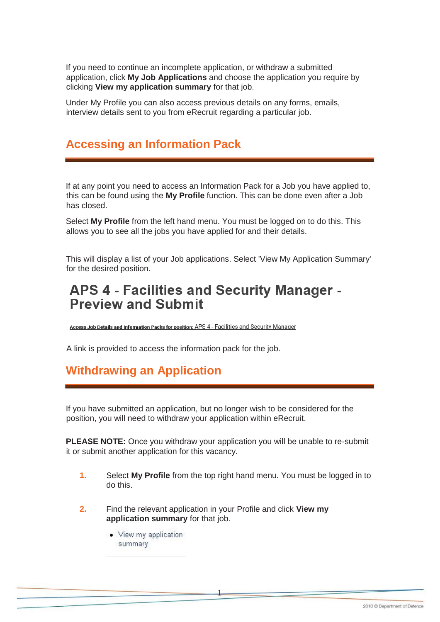If you need to continue an incomplete application, or withdraw a submitted application, click **My Job Applications** and choose the application you require by clicking **View my application summary** for that job.

Under My Profile you can also access previous details on any forms, emails, interview details sent to you from eRecruit regarding a particular job.

#### **Accessing an Information Pack**

If at any point you need to access an Information Pack for a Job you have applied to, this can be found using the **My Profile** function. This can be done even after a Job has closed.

Select **My Profile** from the left hand menu. You must be logged on to do this. This allows you to see all the jobs you have applied for and their details.

This will display a list of your Job applications. Select 'View My Application Summary' for the desired position.

## **APS 4 - Facilities and Security Manager -Preview and Submit**

Access Job Details and Information Packs for position: APS 4 - Facilities and Security Manager

A link is provided to access the information pack for the job.

#### **Withdrawing an Application**

If you have submitted an application, but no longer wish to be considered for the position, you will need to withdraw your application within eRecruit.

**PLEASE NOTE:** Once you withdraw your application you will be unable to re-submit it or submit another application for this vacancy.

**1.** Select **My Profile** from the top right hand menu. You must be logged in to do this.

- **2.** Find the relevant application in your Profile and click **View my application summary** for that job.
	- View my application summary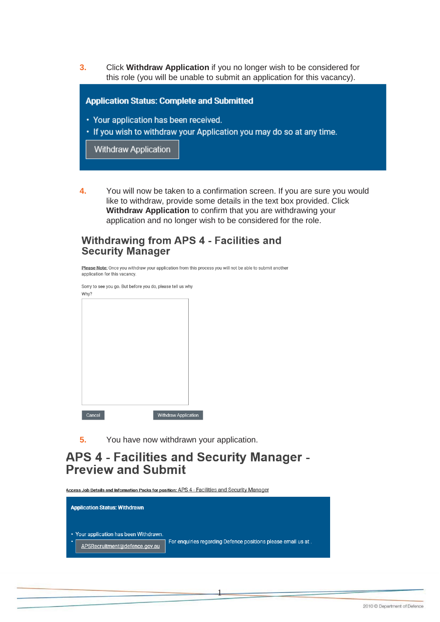**3.** Click **Withdraw Application** if you no longer wish to be considered for this role (you will be unable to submit an application for this vacancy).

**Application Status: Complete and Submitted** 

- Your application has been received.
- If you wish to withdraw your Application you may do so at any time.

**Withdraw Application** 

**4.** You will now be taken to a confirmation screen. If you are sure you would like to withdraw, provide some details in the text box provided. Click **Withdraw Application** to confirm that you are withdrawing your application and no longer wish to be considered for the role.

#### **Withdrawing from APS 4 - Facilities and Security Manager**

| application for this vacancy. |                                                            | Please Note: Once you withdraw your application from this process you will not be able to submit another |  |
|-------------------------------|------------------------------------------------------------|----------------------------------------------------------------------------------------------------------|--|
| Why?                          | Sorry to see you go. But before you do, please tell us why |                                                                                                          |  |
|                               |                                                            |                                                                                                          |  |
|                               |                                                            |                                                                                                          |  |
|                               |                                                            |                                                                                                          |  |
|                               |                                                            |                                                                                                          |  |
|                               |                                                            |                                                                                                          |  |
|                               |                                                            |                                                                                                          |  |
|                               |                                                            |                                                                                                          |  |
| Cancel                        | <b>Withdraw Application</b>                                |                                                                                                          |  |

**5.** You have now withdrawn your application.

#### APS 4 - Facilities and Security Manager -**Preview and Submit**

Access Job Details and Information Packs for position: APS 4 - Facilities and Security Manager